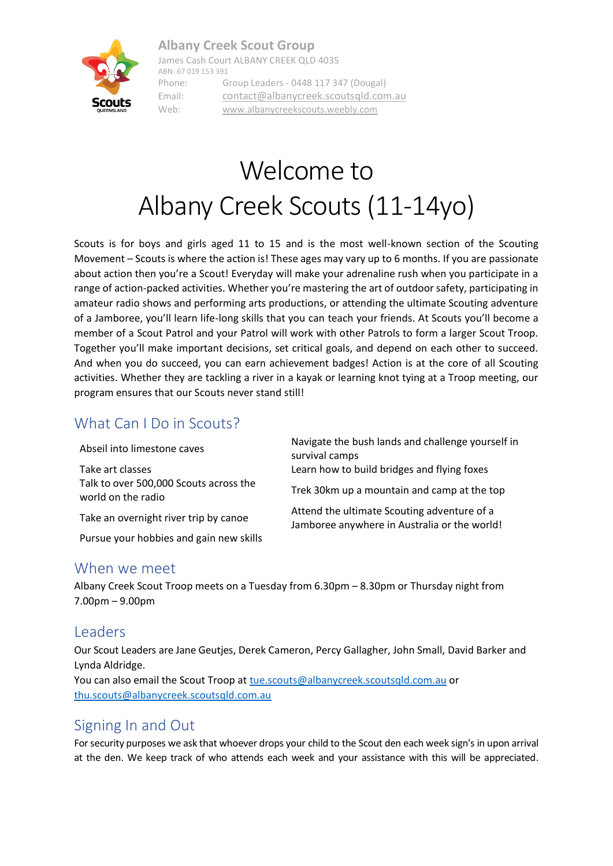#### **Albany Creek Scout Group**



James Cash Court ALBANY CREEK QLD 4035 ABN: 67 019 153 391 Phone: Group Leaders - 0448 117 347 (Dougal) Email: [contact@albanycreek.scoutsqld.com.au](mailto:contact@albanycreek.scoutsqld.com.au) Web: [www.albanycreekscouts.weebly.com](http://www.albanycreekscouts.weebly.com/)

# Welcome to Albany Creek Scouts (11-14yo)

Scouts is for boys and girls aged 11 to 15 and is the most well-known section of the Scouting Movement – Scouts is where the action is! These ages may vary up to 6 months. If you are passionate about action then you're a Scout! Everyday will make your adrenaline rush when you participate in a range of action-packed activities. Whether you're mastering the art of outdoor safety, participating in amateur radio shows and performing arts productions, or attending the ultimate Scouting adventure of a Jamboree, you'll learn life-long skills that you can teach your friends. At Scouts you'll become a member of a Scout Patrol and your Patrol will work with other Patrols to form a larger Scout Troop. Together you'll make important decisions, set critical goals, and depend on each other to succeed. And when you do succeed, you can earn achievement badges! Action is at the core of all Scouting activities. Whether they are tackling a river in a kayak or learning knot tying at a Troop meeting, our program ensures that our Scouts never stand still!

### What Can I Do in Scouts?

Abseil into limestone caves Navigate the bush lands and challenge yourself in survival camps Take art classes Learn how to build bridges and flying foxes Talk to over 500,000 Scouts across the Trek 30km up a mountain and camp at the top world on the radio Take an overnight river trip by canoe Attend the ultimate Scouting adventure of a Jamboree anywhere in Australia or the world! Pursue your hobbies and gain new skills

#### When we meet

Albany Creek Scout Troop meets on a Tuesday from 6.30pm – 8.30pm or Thursday night from 7.00pm – 9.00pm

### Leaders

Our Scout Leaders are Jane Geutjes, Derek Cameron, Percy Gallagher, John Small, David Barker and Lynda Aldridge.

You can also email the Scout Troop at [tue.scouts@albanycreek.scoutsqld.com.au](mailto:tue.scouts@albanycreek.scoutsqld.com.au) or [thu.scouts@albanycreek.scoutsqld.com.au](mailto:thu.scouts@albanycreek.scoutsqld.com.au)

### Signing In and Out

For security purposes we ask that whoever drops your child to the Scout den each week sign's in upon arrival at the den. We keep track of who attends each week and your assistance with this will be appreciated.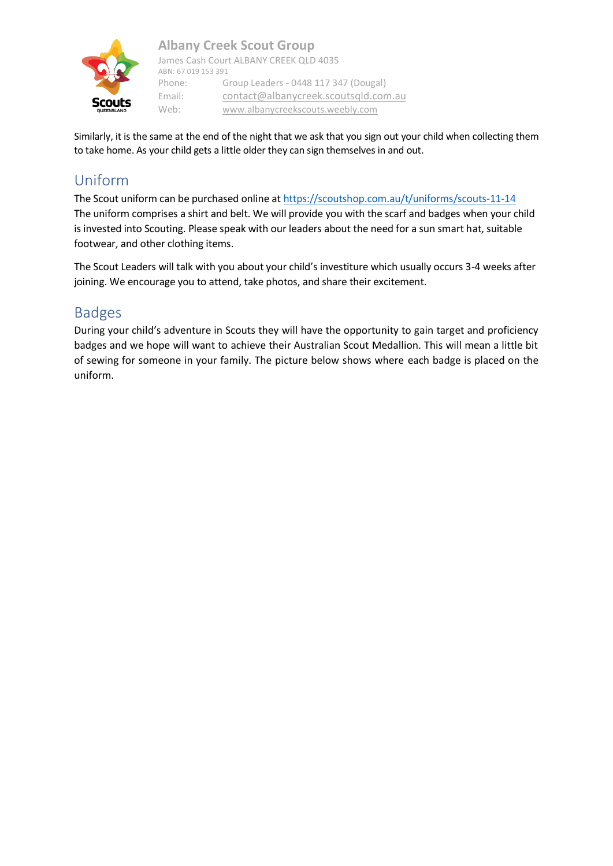

Similarly, it is the same at the end of the night that we ask that you sign out your child when collecting them to take home. As your child gets a little older they can sign themselves in and out.

# Uniform

The Scout uniform can be purchased online at<https://scoutshop.com.au/t/uniforms/scouts-11-14> The uniform comprises a shirt and belt. We will provide you with the scarf and badges when your child is invested into Scouting. Please speak with our leaders about the need for a sun smart hat, suitable footwear, and other clothing items.

The Scout Leaders will talk with you about your child's investiture which usually occurs 3-4 weeks after joining. We encourage you to attend, take photos, and share their excitement.

# Badges

During your child's adventure in Scouts they will have the opportunity to gain target and proficiency badges and we hope will want to achieve their Australian Scout Medallion. This will mean a little bit of sewing for someone in your family. The picture below shows where each badge is placed on the uniform.